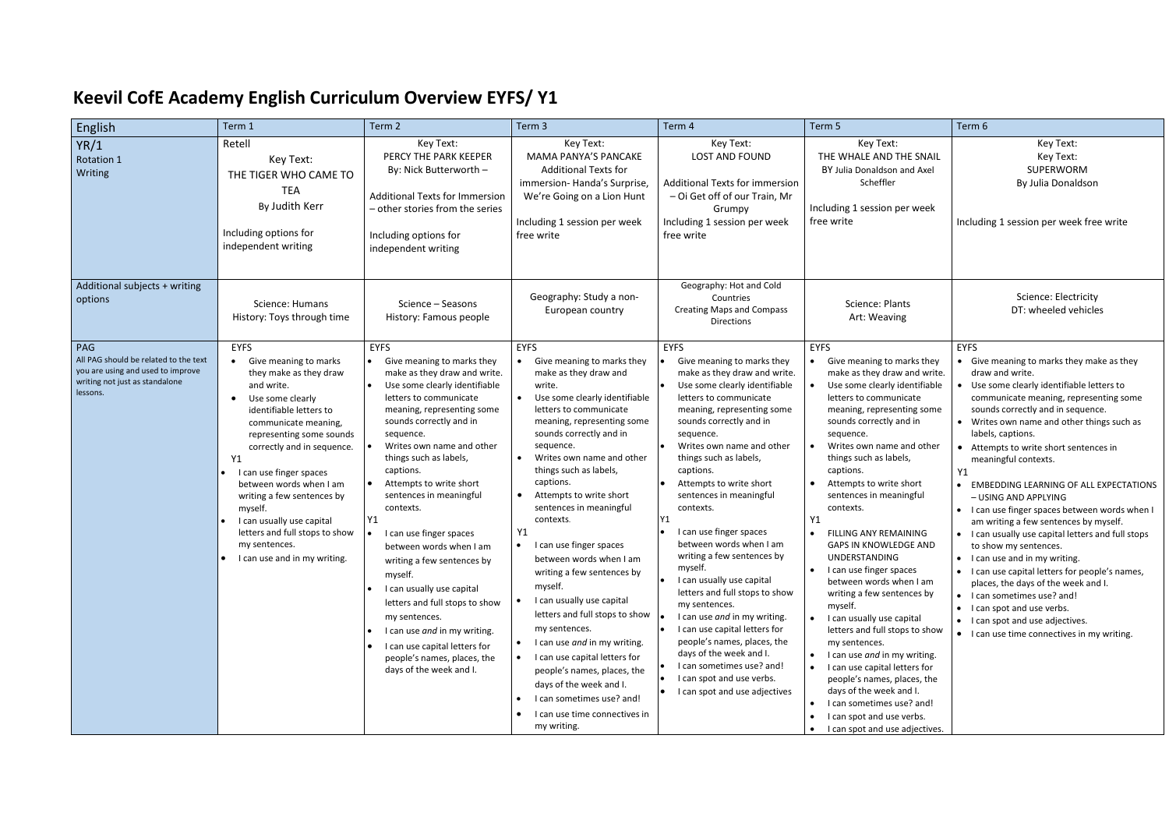## **Keevil CofE Academy English Curriculum Overview EYFS/ Y1**

| English                                                                                                                         | Term 1                                                                                                                                                                                                                                                                                                                                                                                                                                                         | Term 2                                                                                                                                                                                                                                                                                                                                                                                                                                                                                                                                                                                                                                                            | Term 3                                                                                                                                                                                                                                                                                                                                                                                                                                                                                                                                                                                                                                                                                                                                                                                                                            | Term 4                                                                                                                                                                                                                                                                                                                                                                                                                                                                                                                                                                                                                                                                                                                                                       | Term 5                                                                                                                                                                                                                                                                                                                                                                                                                                                                                                                                                                                                                                                                                                                                                                                                                                                                                          | Term 6                                                                                                                                                                                                                                                                                                                                                                                                                                                                                                                                                                                                                                                                                                                                                                                                                                                                       |
|---------------------------------------------------------------------------------------------------------------------------------|----------------------------------------------------------------------------------------------------------------------------------------------------------------------------------------------------------------------------------------------------------------------------------------------------------------------------------------------------------------------------------------------------------------------------------------------------------------|-------------------------------------------------------------------------------------------------------------------------------------------------------------------------------------------------------------------------------------------------------------------------------------------------------------------------------------------------------------------------------------------------------------------------------------------------------------------------------------------------------------------------------------------------------------------------------------------------------------------------------------------------------------------|-----------------------------------------------------------------------------------------------------------------------------------------------------------------------------------------------------------------------------------------------------------------------------------------------------------------------------------------------------------------------------------------------------------------------------------------------------------------------------------------------------------------------------------------------------------------------------------------------------------------------------------------------------------------------------------------------------------------------------------------------------------------------------------------------------------------------------------|--------------------------------------------------------------------------------------------------------------------------------------------------------------------------------------------------------------------------------------------------------------------------------------------------------------------------------------------------------------------------------------------------------------------------------------------------------------------------------------------------------------------------------------------------------------------------------------------------------------------------------------------------------------------------------------------------------------------------------------------------------------|-------------------------------------------------------------------------------------------------------------------------------------------------------------------------------------------------------------------------------------------------------------------------------------------------------------------------------------------------------------------------------------------------------------------------------------------------------------------------------------------------------------------------------------------------------------------------------------------------------------------------------------------------------------------------------------------------------------------------------------------------------------------------------------------------------------------------------------------------------------------------------------------------|------------------------------------------------------------------------------------------------------------------------------------------------------------------------------------------------------------------------------------------------------------------------------------------------------------------------------------------------------------------------------------------------------------------------------------------------------------------------------------------------------------------------------------------------------------------------------------------------------------------------------------------------------------------------------------------------------------------------------------------------------------------------------------------------------------------------------------------------------------------------------|
| YR/1<br><b>Rotation 1</b><br>Writing                                                                                            | Retell<br>Key Text:<br>THE TIGER WHO CAME TO<br><b>TEA</b><br>By Judith Kerr<br>Including options for<br>independent writing                                                                                                                                                                                                                                                                                                                                   | Key Text:<br>PERCY THE PARK KEEPER<br>By: Nick Butterworth -<br><b>Additional Texts for Immersion</b><br>- other stories from the series<br>Including options for<br>independent writing                                                                                                                                                                                                                                                                                                                                                                                                                                                                          | Key Text:<br>MAMA PANYA'S PANCAKE<br><b>Additional Texts for</b><br>immersion-Handa's Surprise,<br>We're Going on a Lion Hunt<br>Including 1 session per week<br>free write                                                                                                                                                                                                                                                                                                                                                                                                                                                                                                                                                                                                                                                       | Key Text:<br><b>LOST AND FOUND</b><br><b>Additional Texts for immersion</b><br>- Oi Get off of our Train, Mr<br>Grumpy<br>Including 1 session per week<br>free write                                                                                                                                                                                                                                                                                                                                                                                                                                                                                                                                                                                         | Key Text:<br>THE WHALE AND THE SNAIL<br>BY Julia Donaldson and Axel<br>Scheffler<br>Including 1 session per week<br>free write                                                                                                                                                                                                                                                                                                                                                                                                                                                                                                                                                                                                                                                                                                                                                                  | Key Text:<br>Key Text:<br><b>SUPERWORM</b><br>By Julia Donaldson<br>Including 1 session per week free write                                                                                                                                                                                                                                                                                                                                                                                                                                                                                                                                                                                                                                                                                                                                                                  |
| Additional subjects + writing<br>options                                                                                        | Science: Humans<br>History: Toys through time                                                                                                                                                                                                                                                                                                                                                                                                                  | Science - Seasons<br>History: Famous people                                                                                                                                                                                                                                                                                                                                                                                                                                                                                                                                                                                                                       | Geography: Study a non-<br>European country                                                                                                                                                                                                                                                                                                                                                                                                                                                                                                                                                                                                                                                                                                                                                                                       | Geography: Hot and Cold<br>Countries<br><b>Creating Maps and Compass</b><br><b>Directions</b>                                                                                                                                                                                                                                                                                                                                                                                                                                                                                                                                                                                                                                                                | Science: Plants<br>Art: Weaving                                                                                                                                                                                                                                                                                                                                                                                                                                                                                                                                                                                                                                                                                                                                                                                                                                                                 | Science: Electricity<br>DT: wheeled vehicles                                                                                                                                                                                                                                                                                                                                                                                                                                                                                                                                                                                                                                                                                                                                                                                                                                 |
| PAG<br>All PAG should be related to the text<br>you are using and used to improve<br>writing not just as standalone<br>lessons. | <b>EYFS</b><br>• Give meaning to marks<br>they make as they draw<br>and write.<br>Use some clearly<br>$\bullet$<br>identifiable letters to<br>communicate meaning,<br>representing some sounds<br>correctly and in sequence.<br>Y1<br>I can use finger spaces<br>between words when I am<br>writing a few sentences by<br>myself.<br>I can usually use capital<br>letters and full stops to show<br>my sentences.<br>$\bullet$<br>I can use and in my writing. | <b>EYFS</b><br>Give meaning to marks they<br>make as they draw and write.<br>Use some clearly identifiable<br>letters to communicate<br>meaning, representing some<br>sounds correctly and in<br>sequence.<br>Writes own name and other<br>things such as labels,<br>captions.<br>Attempts to write short<br>sentences in meaningful<br>contexts.<br>Y1<br>I can use finger spaces<br>between words when I am<br>writing a few sentences by<br>myself.<br>I can usually use capital<br>letters and full stops to show<br>my sentences.<br>I can use and in my writing.<br>I can use capital letters for<br>people's names, places, the<br>days of the week and I. | <b>EYFS</b><br>Give meaning to marks they<br>make as they draw and<br>write.<br>Use some clearly identifiable<br>$\bullet$<br>letters to communicate<br>meaning, representing some<br>sounds correctly and in<br>sequence.<br>Writes own name and other<br>$\bullet$<br>things such as labels,<br>captions.<br>Attempts to write short<br>$\bullet$<br>sentences in meaningful<br>contexts.<br>Y1<br>• I can use finger spaces<br>between words when I am<br>writing a few sentences by<br>myself.<br>I can usually use capital<br>letters and full stops to show<br>my sentences.<br>I can use and in my writing.<br>$\bullet$<br>I can use capital letters for<br>people's names, places, the<br>days of the week and I.<br>I can sometimes use? and!<br>$\bullet$<br>I can use time connectives in<br>$\bullet$<br>my writing. | <b>EYFS</b><br>Give meaning to marks they<br>make as they draw and write.<br>Use some clearly identifiable<br>letters to communicate<br>meaning, representing some<br>sounds correctly and in<br>sequence.<br>Writes own name and other<br>things such as labels,<br>captions.<br>Attempts to write short<br>sentences in meaningful<br>contexts.<br>Y1<br>I can use finger spaces<br>between words when I am<br>writing a few sentences by<br>myself.<br>I can usually use capital<br>letters and full stops to show<br>my sentences.<br>I can use and in my writing.<br>I can use capital letters for<br>people's names, places, the<br>days of the week and I.<br>I can sometimes use? and!<br>I can spot and use verbs.<br>I can spot and use adjectives | <b>EYFS</b><br>Give meaning to marks they<br>make as they draw and write.<br>Use some clearly identifiable<br>letters to communicate<br>meaning, representing some<br>sounds correctly and in<br>sequence.<br>Writes own name and other<br>things such as labels,<br>captions.<br>Attempts to write short<br>sentences in meaningful<br>contexts.<br>Y1<br>FILLING ANY REMAINING<br><b>GAPS IN KNOWLEDGE AND</b><br>UNDERSTANDING<br>• I can use finger spaces<br>between words when I am<br>writing a few sentences by<br>myself.<br>I can usually use capital<br>letters and full stops to show<br>my sentences.<br>• I can use and in my writing.<br>I can use capital letters for<br>$\bullet$<br>people's names, places, the<br>days of the week and I.<br>I can sometimes use? and!<br>$\bullet$<br>I can spot and use verbs.<br>$\bullet$<br>I can spot and use adjectives.<br>$\bullet$ | <b>EYFS</b><br>• Give meaning to marks they make as they<br>draw and write.<br>Use some clearly identifiable letters to<br>communicate meaning, representing some<br>sounds correctly and in sequence.<br>• Writes own name and other things such as<br>labels, captions.<br>• Attempts to write short sentences in<br>meaningful contexts.<br>Y1<br>• EMBEDDING LEARNING OF ALL EXPECTATIONS<br>- USING AND APPLYING<br>• I can use finger spaces between words when I<br>am writing a few sentences by myself.<br>• I can usually use capital letters and full stops<br>to show my sentences.<br>• I can use and in my writing.<br>• I can use capital letters for people's names,<br>places, the days of the week and I.<br>• I can sometimes use? and!<br>• I can spot and use verbs.<br>• I can spot and use adjectives.<br>• I can use time connectives in my writing. |